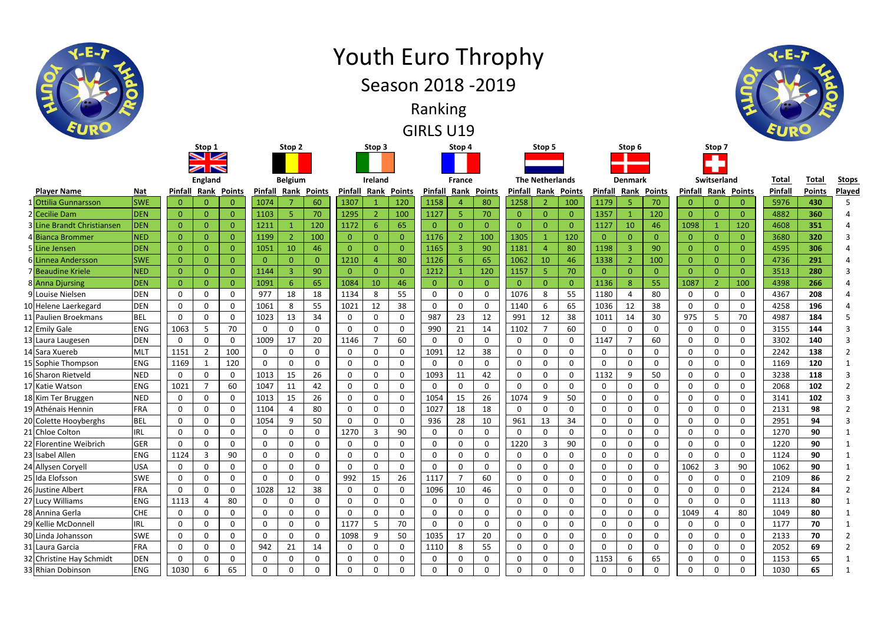| <b>Player Name</b>         | <b>Nat</b> | Pinfall        |                | <b>Rank Points</b> | <b>Pinfall</b> | Rank         | <b>Points</b>  | Pinfall        | Rank         | <b>Points</b>  | Pinfall        | Rank                    | <b>Points</b> | <b>Pinfall</b> | Rank           | <b>Points</b> | <b>Pinfall</b> | Rank           | <b>Points</b>  | <b>Pinfall</b> | Rank           | <b>Points</b>  | Pinfall | <b>Points</b> | Play         |
|----------------------------|------------|----------------|----------------|--------------------|----------------|--------------|----------------|----------------|--------------|----------------|----------------|-------------------------|---------------|----------------|----------------|---------------|----------------|----------------|----------------|----------------|----------------|----------------|---------|---------------|--------------|
| <b>Ottilia Gunnarsson</b>  | <b>SWE</b> | $\Omega$       | $\Omega$       |                    | 1074           |              | 60             | 1307           |              | 120            | 1158           |                         | 80            | 1258           | 2              | 100           | 1179           |                | 70             | 0              |                | $\overline{0}$ | 5976    | 430           |              |
| 2 Cecilie Dam              | <b>DEN</b> | $\overline{0}$ | $\mathbf{0}$   | $\Omega$           | 1103           |              | 70             | 1295           |              | 100            | 1127           | 5                       | 70            | $\mathbf{0}$   | $\overline{0}$ | $\mathbf{0}$  | 1357           |                | 120            | $\overline{0}$ |                | $\overline{0}$ | 4882    | 360           |              |
| 3 Line Brandt Christiansen | <b>DEN</b> | $\overline{0}$ | $\overline{0}$ | $\Omega$           | 1211           |              | 120            | 1172           |              | 65             | $\overline{0}$ | $\overline{0}$          |               | $\mathbf{0}$   | $\overline{0}$ | $\mathbf{0}$  | 1127           | 10             | 46             | 1098           |                | 120            | 4608    | 351           |              |
| 4 Bianca Brommer           | <b>NED</b> | $\mathbf{0}$   | $\overline{0}$ | $\Omega$           | 1199           |              | 100            | $\overline{0}$ |              | $\overline{0}$ | 1176           | $\overline{2}$          | 100           | 1305           |                | 120           | $\overline{0}$ |                | $\Omega$       | $\overline{0}$ |                | $\overline{0}$ | 3680    | 320           |              |
| 5 <mark>Line Jensen</mark> | <b>DEN</b> | $\overline{0}$ | $\Omega$       |                    | 1051           | 10           | 46             | $\overline{0}$ | $\Omega$     | $\overline{0}$ | 1165           | $\overline{\mathbf{3}}$ | 90            | 1181           | 4              | 80            | 1198           |                | 90             | $\overline{0}$ |                | $\mathbf{0}$   | 4595    | 306           |              |
| 6 Linnea Andersson         | <b>SWE</b> | $\overline{0}$ | $\mathbf{0}$   | $\Omega$           | $\Omega$       | $\mathbf{0}$ | $\overline{0}$ | 1210           |              | 80             | 1126           | 6                       | 65            | 1062           | 10             | 46            | 1338           |                | 100            | $\mathbf{0}$   | 0              | $\overline{0}$ | 4736    | 291           |              |
| 7 Beaudine Kriele          | <b>NED</b> | $\Omega$       | $\Omega$       | $\Omega$           | 1144           | 3            | 90             | $\mathbf{0}$   | <sup>n</sup> | $\overline{0}$ | 1212           |                         | 120           | 1157           | 5 <sub>o</sub> | 70            | $\mathbf{0}$   |                | $\overline{0}$ | $\mathbf{0}$   |                | $\overline{0}$ | 3513    | 280           |              |
| 8 Anna Djursing            | <b>DEN</b> | $\overline{0}$ | $\overline{0}$ | $\Omega$           | 1091           | 6            | 65             | 1084           | 10           | 46             | $\overline{0}$ | $\overline{0}$          | $\Omega$      | $\overline{0}$ | $\overline{0}$ | $\mathbf{0}$  | 1136           | 8              | 55             | 1087           | -2             | 100            | 4398    | 266           |              |
| 9 Louise Nielsen           | <b>DEN</b> | 0              | $\mathbf{0}$   | 0                  | 977            | 18           | 18             | 1134           | 8            | 55             | $\mathbf 0$    | 0                       | $\mathbf{0}$  | 1076           | 8              | 55            | 1180           |                | 80             | $\mathbf 0$    |                | $\mathbf 0$    | 4367    | 208           |              |
| 10 Helene Laerkegard       | DEN        | $\mathbf 0$    | $\mathbf 0$    | $\mathbf{0}$       | 1061           | 8            | 55             | 1021           | 12           | 38             | 0              | $\mathbf{0}$            |               | 1140           | 6              | 65            | 1036           | 12             | 38             | $\mathbf 0$    | $\Omega$       | $\mathbf 0$    | 4258    | 196           |              |
| 11 Paulien Broekmans       | <b>BEL</b> | $\mathbf 0$    | $\mathbf 0$    | $\mathbf{0}$       | 1023           | 13           | 34             | $\mathbf 0$    | $\Omega$     | $\mathbf 0$    | 987            | 23                      | 12            | 991            | 12             | 38            | 1011           | 14             | 30             | 975            | 5              | 70             | 4987    | 184           |              |
| 12 Emily Gale              | <b>ENG</b> | 1063           | 5              | 70                 | 0              | $\mathbf{0}$ | $\mathbf{0}$   | $\mathbf 0$    | $\Omega$     | $\mathbf 0$    | 990            | 21                      | 14            | 1102           |                | 60            | 0              | $\Omega$       | 0              | $\mathbf 0$    | 0              | 0              | 3155    | 144           |              |
| 13 Laura Laugesen          | <b>DEN</b> | $\mathbf 0$    | $\mathbf 0$    | $\mathbf{0}$       | 1009           | 17           | 20             | 1146           |              | 60             | $\mathbf 0$    | $\Omega$                | $\Omega$      | $\Omega$       | $\mathbf 0$    | $\mathbf 0$   | 1147           | $\overline{7}$ | 60             | $\mathbf 0$    | $\Omega$       | $\mathbf 0$    | 3302    | 140           |              |
| 14 Sara Xuereb             | <b>MLT</b> | 1151           | $\overline{2}$ | 100                | 0              | $\Omega$     | $\Omega$       | 0              | <sup>0</sup> | $\mathbf 0$    | 1091           | 12                      | 38            | $\mathbf{0}$   | $\mathbf 0$    | $\mathbf 0$   | 0              |                | 0              | 0              | $\Omega$       | $\mathbf 0$    | 2242    | 138           |              |
| 15 Sophie Thompson         | <b>ENG</b> | 1169           | $\mathbf 1$    | 120                | $\Omega$       | $\Omega$     | 0              | $\mathbf 0$    | $\Omega$     | $\mathbf 0$    | $\mathbf 0$    | $\mathbf 0$             | 0             | $\mathbf{0}$   | $\mathbf 0$    | $\mathbf 0$   | $\Omega$       |                | 0              | 0              | 0              | $\mathbf 0$    | 1169    | 120           |              |
| 16 Sharon Rietveld         | <b>NED</b> | 0              | $\mathbf 0$    | 0                  | 1013           | 15           | 26             | $\mathbf 0$    | $\Omega$     | $\mathbf 0$    | 1093           | 11                      | 42            | 0              | $\mathbf 0$    | $\mathbf 0$   | 1132           | 9              | 50             | $\mathbf 0$    | 0              | $\mathbf 0$    | 3238    | 118           |              |
| 17 Katie Watson            | <b>ENG</b> | 1021           | $\overline{7}$ | 60                 | 1047           | 11           | 42             | $\mathbf 0$    | $\Omega$     | $\mathbf 0$    | $\mathbf 0$    | $\mathbf 0$             | $\mathbf 0$   | 0              | $\mathbf 0$    | $\mathbf 0$   | 0              |                | 0              | $\mathbf 0$    | $\Omega$       | 0              | 2068    | 102           |              |
| 18 Kim Ter Bruggen         | <b>NED</b> | 0              | $\mathbf 0$    | $\mathbf{0}$       | 1013           | 15           | 26             | $\mathbf 0$    | $\mathbf{0}$ | $\mathbf 0$    | 1054           | 15                      | 26            | 1074           | 9              | 50            | 0              | $\Omega$       | $\mathbf{0}$   | $\mathbf 0$    | 0              | $\mathbf 0$    | 3141    | 102           |              |
| 19 Athénais Hennin         | <b>FRA</b> | $\mathbf{0}$   | $\Omega$       | 0                  | 1104           |              | 80             | $\mathbf 0$    | $\Omega$     | $\mathbf 0$    | 1027           | 18                      | 18            | 0              | $\mathbf 0$    | 0             | 0              | $\Omega$       | 0              | 0              | $\Omega$       | $\mathbf 0$    | 2131    | 98            |              |
| 20 Colette Hooyberghs      | <b>BEL</b> | $\mathbf{0}$   | $\mathbf 0$    | $\mathbf{0}$       | 1054           | 9            | 50             | $\mathbf 0$    | $\Omega$     | $\mathbf 0$    | 936            | 28                      | 10            | 961            | 13             | 34            | 0              | $\Omega$       | $\Omega$       | $\mathbf 0$    | $\Omega$       | $\mathbf 0$    | 2951    | 94            |              |
| 21 Chloe Colton            | <b>IRL</b> | 0              | 0              | 0                  | 0              | $\Omega$     | $\Omega$       | 1270           |              | 90             | 0              | 0                       | $\mathbf{0}$  | 0              | $\mathbf 0$    | 0             | 0              |                | $\mathbf{0}$   | 0              |                | $\mathbf 0$    | 1270    | 90            |              |
| 22 Florentine Weibrich     | <b>GER</b> | 0              | $\mathbf 0$    | $\mathbf{0}$       | $\Omega$       | $\mathbf{0}$ | 0              | $\mathbf 0$    | $\Omega$     | $\mathbf 0$    | 0              | 0                       |               | 1220           | $\overline{3}$ | 90            | 0              |                | 0              | 0              | 0              | $\mathbf 0$    | 1220    | 90            |              |
| 23 Isabel Allen            | <b>ENG</b> | 1124           | $\overline{3}$ | 90                 | 0              | 0            | 0              | $\mathbf 0$    | $\Omega$     | $\mathbf 0$    | 0              | 0                       |               | $\mathbf 0$    | $\mathbf 0$    | $\mathbf 0$   | 0              |                | 0              | $\mathbf 0$    | 0              | $\mathbf 0$    | 1124    | 90            |              |
| 24 Allysen Coryell         | <b>USA</b> | 0              | $\mathbf 0$    | 0                  | 0              | $\mathbf{0}$ | 0              | 0              | $\Omega$     | $\mathbf 0$    | $\mathbf 0$    | 0                       | 0             | 0              | $\mathsf{O}$   | 0             | 0              | 0              | 0              | 1062           | $\overline{3}$ | 90             | 1062    | 90            |              |
| 25 Ida Elofsson            | <b>SWE</b> | $\mathbf 0$    | $\mathbf 0$    | 0                  | $\Omega$       | $\Omega$     | 0              | 992            | 15           | 26             | 1117           | -7                      | 60            | 0              | $\mathbf 0$    | $\mathbf 0$   | $\mathbf{0}$   | $\Omega$       | 0              | 0              | 0              | $\mathbf 0$    | 2109    | 86            |              |
| 26 Justine Albert          | <b>FRA</b> | 0              | $\mathbf 0$    | 0                  | 1028           | 12           | 38             | $\mathbf 0$    | $\Omega$     | $\mathbf 0$    | 1096           | 10                      | 46            | 0              | $\mathbf 0$    | $\mathbf 0$   | 0              |                | $\Omega$       | $\mathbf 0$    |                | $\mathbf 0$    | 2124    | 84            |              |
| 27 Lucy Williams           | <b>ENG</b> | 1113           |                | 80                 |                | 0            | 0              | $\mathbf 0$    | 0            | $\mathbf 0$    | $\mathbf 0$    | 0                       |               | 0              | 0              | 0             | 0              |                | 0              | 0              |                | $\mathbf 0$    | 1113    | 80            |              |
| 28 Annina Gerla            | <b>CHE</b> | $\mathbf 0$    | 0              | 0                  |                | $\Omega$     | 0              | 0              | 0            | $\mathbf 0$    | $\Omega$       |                         |               | $\mathbf{0}$   | 0              | $\mathbf 0$   | 0              |                | 0              | 1049           |                | 80             | 1049    | 80            |              |
| 29 Kellie McDonnell        | <b>IRL</b> | 0              | $\mathbf 0$    | 0                  | 0              | 0            | $\mathbf 0$    | 1177           | 5            | 70             | 0              | 0                       | 0             | 0              | $\mathbf 0$    | $\mathbf 0$   | 0              | 0              | 0              | 0              | 0              | 0              | 1177    | 70            |              |
| 30 Linda Johansson         | <b>SWE</b> | $\mathbf 0$    | $\mathbf 0$    | 0                  | 0              | $\mathbf 0$  | $\mathbf 0$    | 1098           | 9            | 50             | 1035           | 17                      | 20            | $\overline{0}$ | $\overline{0}$ | $\mathbf 0$   | 0              | $\mathbf 0$    | 0              | $\mathbf 0$    | 0              | $\mathbf 0$    | 2133    | 70            |              |
| 31 Laura Garcia            | <b>FRA</b> | $\mathbf 0$    | $\mathbf 0$    | 0                  | 942            | 21           | 14             | $\mathbf 0$    | $\mathbf 0$  | $\mathbf 0$    | 1110           | 8                       | 55            | $\mathbf 0$    | $\mathbf 0$    | $\mathbf 0$   | 0              | 0              | $\mathbf 0$    | $\mathbf 0$    | 0              | $\mathbf 0$    | 2052    | 69            |              |
| 32 Christine Hay Schmidt   | <b>DEN</b> | $\mathbf 0$    | $\mathbf 0$    | 0                  | 0              | $\mathbf 0$  | $\mathbf 0$    | $\mathbf 0$    | 0            | $\mathbf 0$    | 0              | 0                       | $\mathbf 0$   | $\mathbf 0$    | $\mathbf 0$    | 0             | 1153           | 6              | 65             | $\mathbf 0$    | 0              | $\mathbf 0$    | 1153    | 65            |              |
| 33 Rhian Dobinson          | <b>ENG</b> | 1030           | 6              | 65                 | 0              | 0            | 0              | $\mathbf 0$    | 0            | $\mathbf 0$    | 0              | 0                       |               | $\mathbf 0$    | $\mathbf 0$    | $\mathbf 0$   | 0              |                | $\mathbf 0$    | $\mathbf 0$    |                | 0              | 1030    | 65            | $\mathbf{1}$ |



## Youth Euro Throphy



GIRLS U19 Ranking

Season 2018 -2019



| Denmark       |                |       |  |  |  |  |  |  |  |  |  |  |
|---------------|----------------|-------|--|--|--|--|--|--|--|--|--|--|
| <u>infall</u> | Rank           | Point |  |  |  |  |  |  |  |  |  |  |
| 1179          | 5              | 70    |  |  |  |  |  |  |  |  |  |  |
| 1357          | 1              | 120   |  |  |  |  |  |  |  |  |  |  |
| 1127          | 10             | 46    |  |  |  |  |  |  |  |  |  |  |
| 0             | 0              | 0     |  |  |  |  |  |  |  |  |  |  |
| L198          | 3              | 90    |  |  |  |  |  |  |  |  |  |  |
| 1338          | $\overline{2}$ | 100   |  |  |  |  |  |  |  |  |  |  |
| 0             | 0              | 0     |  |  |  |  |  |  |  |  |  |  |
| 1136          | 8              | 55    |  |  |  |  |  |  |  |  |  |  |

|                 | Stop 5 |  |  |  |  |  |  |  |
|-----------------|--------|--|--|--|--|--|--|--|
|                 |        |  |  |  |  |  |  |  |
|                 |        |  |  |  |  |  |  |  |
| 'he Netherlands |        |  |  |  |  |  |  |  |

| <b>France</b>  |                    |              | <b>The Netherlands</b> |                    |                | <b>Denmark</b> |                            |                | Switserland    |                            | <b>Total</b> | <b>Total</b>  | <b>Stops</b>   |
|----------------|--------------------|--------------|------------------------|--------------------|----------------|----------------|----------------------------|----------------|----------------|----------------------------|--------------|---------------|----------------|
|                | <b>Rank Points</b> | Pinfall      |                        | <b>Rank Points</b> |                |                | <b>Pinfall Rank Points</b> |                |                | <b>Pinfall Rank Points</b> | Pinfall      | <b>Points</b> | Played         |
| $\overline{a}$ | 80                 | 1258         | $\overline{2}$         | 100                | 1179           | 5              | 70                         | $\mathbf{0}$   | $\mathbf{0}$   | $\mathbf{0}$               | 5976         | 430           | 5              |
| 5              | 70                 | $\mathbf{0}$ | 0                      | $\mathbf{0}$       | 1357           | $\mathbf{1}$   | 120                        | $\overline{0}$ | $\mathbf{0}$   | $\Omega$                   | 4882         | 360           | 4              |
| 0              | $\Omega$           | 0            | 0                      | 0                  | 1127           | 10             | 46                         | 1098           | 1              | 120                        | 4608         | 351           | 4              |
| $\overline{2}$ | 100                | 1305         | $\mathbf{1}$           | 120                | $\overline{0}$ | $\overline{0}$ | $\overline{0}$             | 0              | 0              | $\mathbf{0}$               | 3680         | 320           | 3              |
| 3              | 90                 | 1181         | 4                      | 80                 | 1198           | 3              | 90                         | 0              | 0              | 0                          | 4595         | 306           | 4              |
| 6              | 65                 | 1062         | 10                     | 46                 | 1338           | $\overline{2}$ | 100                        | 0              | 0              | $\mathbf{0}$               | 4736         | 291           | 4              |
| $\mathbf{1}$   | 120                | 1157         | 5                      | 70                 | $\mathbf{0}$   | $\mathbf{0}$   | $\mathbf{0}$               | $\mathbf 0$    | 0              | $\Omega$                   | 3513         | 280           | 3              |
| $\bf 0$        | $\overline{0}$     | $\mathbf{0}$ | 0                      | $\mathbf 0$        | 1136           | 8              | 55                         | 1087           | $\overline{2}$ | 100                        | 4398         | 266           | 4              |
| 0              | $\mathbf 0$        | 1076         | 8                      | 55                 | 1180           | $\overline{4}$ | 80                         | 0              | 0              | $\mathbf 0$                | 4367         | 208           | 4              |
| 0              | $\mathbf 0$        | 1140         | 6                      | 65                 | 1036           | 12             | 38                         | 0              | 0              | 0                          | 4258         | 196           | 4              |
| 23             | 12                 | 991          | 12                     | 38                 | 1011           | 14             | 30                         | 975            | 5              | 70                         | 4987         | 184           | 5              |
| 21             | 14                 | 1102         | 7                      | 60                 | 0              | 0              | 0                          | 0              | $\mathbf 0$    | $\mathbf 0$                | 3155         | 144           | 3              |
| $\mathbf 0$    | $\mathbf 0$        | 0            | 0                      | 0                  | 1147           | $\overline{7}$ | 60                         | 0              | $\mathbf 0$    | 0                          | 3302         | 140           | 3              |
| 12             | 38                 | 0            | $\mathbf 0$            | 0                  | 0              | $\mathbf 0$    | $\mathbf 0$                | 0              | $\mathbf 0$    | $\mathbf 0$                | 2242         | 138           | 2              |
| 0              | $\mathbf 0$        | 0            | 0                      | 0                  | 0              | 0              | 0                          | 0              | $\mathbf 0$    | 0                          | 1169         | 120           | 1              |
| 11             | 42                 | 0            | $\mathbf 0$            | 0                  | 1132           | 9              | 50                         | 0              | $\mathbf 0$    | $\mathbf 0$                | 3238         | 118           | 3              |
| 0              | 0                  | 0            | 0                      | 0                  | 0              | 0              | 0                          | 0              | $\mathbf 0$    | 0                          | 2068         | 102           | 2              |
| 15             | 26                 | 1074         | 9                      | 50                 | 0              | $\mathbf 0$    | $\mathbf 0$                | 0              | $\mathbf 0$    | 0                          | 3141         | 102           | 3              |
| 18             | 18                 | 0            | 0                      | 0                  | 0              | 0              | 0                          | 0              | $\mathbf 0$    | $\mathbf 0$                | 2131         | 98            | 2              |
| 28             | 10                 | 961          | 13                     | 34                 | 0              | $\mathbf 0$    | 0                          | 0              | $\mathbf 0$    | 0                          | 2951         | 94            | 3              |
| $\mathbf 0$    | $\mathbf 0$        | 0            | $\mathbf 0$            | $\mathbf 0$        | 0              | $\mathbf 0$    | 0                          | 0              | $\mathbf 0$    | $\mathbf 0$                | 1270         | 90            | 1              |
| 0              | $\mathbf 0$        | 1220         | 3                      | 90                 | 0              | $\pmb{0}$      | 0                          | 0              | $\pmb{0}$      | 0                          | 1220         | 90            | 1              |
| 0              | $\mathbf 0$        | 0            | 0                      | 0                  | 0              | 0              | 0                          | 0              | $\mathbf 0$    | $\mathbf 0$                | 1124         | 90            | 1              |
| $\pmb{0}$      | $\mathbf 0$        | 0            | 0                      | 0                  | 0              | 0              | 0                          | 1062           | 3              | 90                         | 1062         | 90            | 1              |
| $\overline{7}$ | 60                 | 0            | $\mathbf 0$            | 0                  | 0              | $\mathbf 0$    | 0                          | $\pmb{0}$      | $\mathbf 0$    | $\mathbf 0$                | 2109         | 86            | 2              |
| 10             | 46                 | 0            | $\mathbf 0$            | 0                  | 0              | 0              | 0                          | 0              | 0              | $\pmb{0}$                  | 2124         | 84            | 2              |
| 0              | $\mathbf 0$        | 0            | 0                      | 0                  | 0              | $\mathbf 0$    | $\pmb{0}$                  | 0              | $\mathbf 0$    | $\pmb{0}$                  | 1113         | 80            | 1              |
| 0              | 0                  | 0            | 0                      | 0                  | 0              | 0              | 0                          | 1049           | 4              | 80                         | 1049         | 80            | 1              |
| $\mathbf 0$    | $\mathbf 0$        | 0            | $\mathbf 0$            | $\mathbf 0$        | 0              | $\mathbf 0$    | $\mathbf 0$                | 0              | $\mathbf 0$    | 0                          | 1177         | 70            | 1              |
| 17             | 20                 | 0            | $\mathbf 0$            | $\mathbf 0$        | 0              | $\mathbf 0$    | 0                          | 0              | $\mathbf 0$    | $\mathbf 0$                | 2133         | 70            | $\overline{2}$ |
| 8              | 55                 | 0            | 0                      | 0                  | 0              | 0              | 0                          | 0              | 0              | $\mathbf 0$                | 2052         | 69            | $\overline{2}$ |
| 0              | $\mathbf 0$        | $\mathbf 0$  | $\pmb{0}$              | 0                  | 1153           | 6              | 65                         | 0              | 0              | $\mathbf 0$                | 1153         | 65            | $\mathbf{1}$   |
| 0              | 0                  | 0            | $\pmb{0}$              | 0                  | $\pmb{0}$      | 0              | 0                          | 0              | $\mathbf 0$    | 0                          | 1030         | 65            | $\mathbf{1}$   |

**Ireland Stop 3**

|  | Stop 4 |  |
|--|--------|--|
|  |        |  |



**Stop 1**

- 2 **ZZ NS** 

**England**

**Stop 2**

**Belgium**